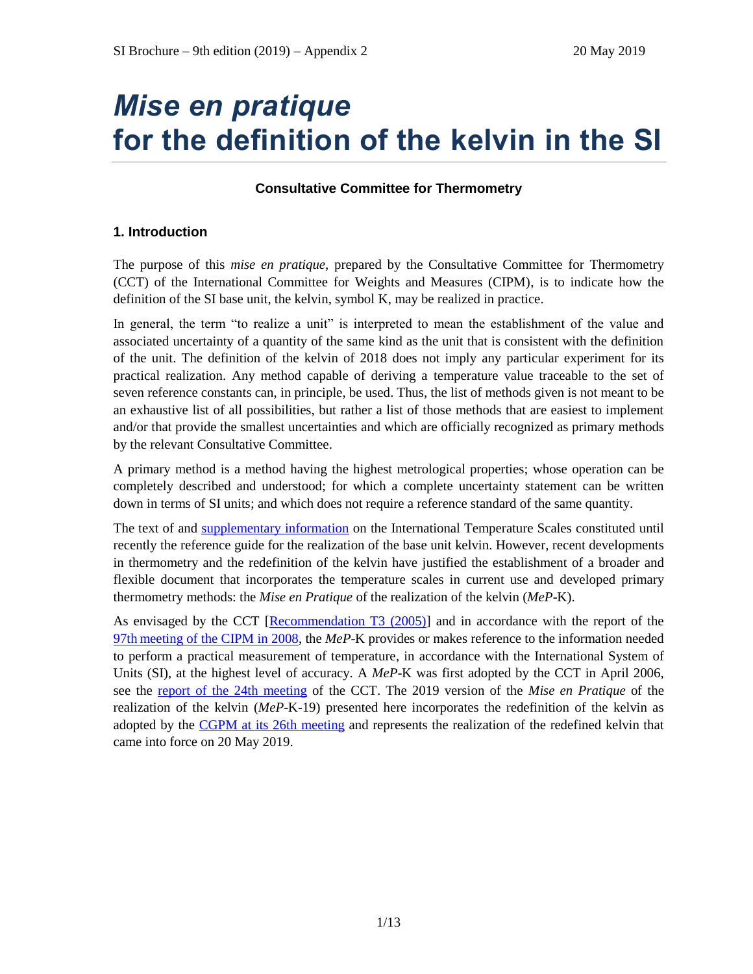# *Mise en pratique* **for the definition of the kelvin in the SI**

# **Consultative Committee for Thermometry**

# **1. Introduction**

The purpose of this *mise en pratique*, prepared by the Consultative Committee for Thermometry (CCT) of the International Committee for Weights and Measures (CIPM), is to indicate how the definition of the SI base unit, the kelvin, symbol K, may be realized in practice.

In general, the term "to realize a unit" is interpreted to mean the establishment of the value and associated uncertainty of a quantity of the same kind as the unit that is consistent with the definition of the unit. The definition of the kelvin of 2018 does not imply any particular experiment for its practical realization. Any method capable of deriving a temperature value traceable to the set of seven reference constants can, in principle, be used. Thus, the list of methods given is not meant to be an exhaustive list of all possibilities, but rather a list of those methods that are easiest to implement and/or that provide the smallest uncertainties and which are officially recognized as primary methods by the relevant Consultative Committee.

A primary method is a method having the highest metrological properties; whose operation can be completely described and understood; for which a complete uncertainty statement can be written down in terms of SI units; and which does not require a reference standard of the same quantity.

The text of and [supplementary information](https://www.bipm.org/en/committees/cc/cct/publications-cc.html) on the International Temperature Scales constituted until recently the reference guide for the realization of the base unit kelvin. However, recent developments in thermometry and the redefinition of the kelvin have justified the establishment of a broader and flexible document that incorporates the temperature scales in current use and developed primary thermometry methods: the *Mise en Pratique* of the realization of the kelvin (*MeP*-K).

As envisaged by the CCT [\[Recommendation T3 \(2005\)\]](https://www.bipm.org/utils/common/pdf/CC/CCT/CCT23.pdf) and in accordance with the report of the 97th [meeting of the CIPM in 2008,](https://www.bipm.org/utils/en/pdf/CIPM/CIPM2008-EN.pdf) the *MeP*-K provides or makes reference to the information needed to perform a practical measurement of temperature, in accordance with the International System of Units (SI), at the highest level of accuracy. A *MeP*-K was first adopted by the CCT in April 2006, see the [report of the 24th](https://www.bipm.org/utils/common/pdf/CC/CCT/CCT24.pdf) meeting of the CCT. The 2019 version of the *Mise en Pratique* of the realization of the kelvin (*MeP*-K-19) presented here incorporates the redefinition of the kelvin as adopted by the [CGPM at its 26th](https://www.bipm.org/utils/common/pdf/CGPM-2018/26th-CGPM-Resolutions.pdf) meeting and represents the realization of the redefined kelvin that came into force on 20 May 2019.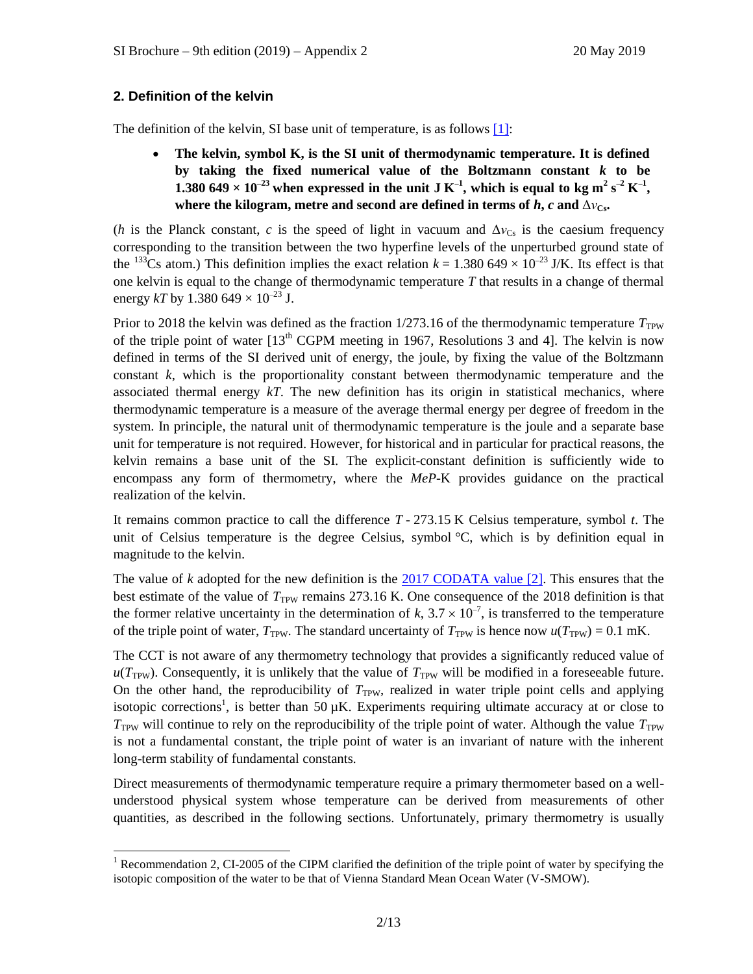# **2. Definition of the kelvin**

The definition of the kelvin, SI base unit of temperature, is as follows [\[1\]:](https://www.bipm.org/utils/common/pdf/si_brochure_9.pdf)

 **The kelvin, symbol K, is the SI unit of thermodynamic temperature. It is defined by taking the fixed numerical value of the Boltzmann constant** *k* **to be**  1.380 649 × 10<sup>-23</sup> when expressed in the unit J K<sup>-1</sup>, which is equal to kg m<sup>2</sup> s<sup>-2</sup> K<sup>-1</sup>, **where the kilogram, metre and second are defined in terms of**  $h$ **,**  $c$  **and**  $\Delta v_{C_{\rm ss}}$ **.** 

(*h* is the Planck constant, *c* is the speed of light in vacuum and  $\Delta v_{\text{Cs}}$  is the caesium frequency corresponding to the transition between the two hyperfine levels of the unperturbed ground state of the <sup>133</sup>Cs atom.) This definition implies the exact relation  $k = 1.380\,649 \times 10^{-23}$  J/K. Its effect is that one kelvin is equal to the change of thermodynamic temperature *T* that results in a change of thermal energy *kT* by 1.380 649  $\times$  10<sup>-23</sup> J.

Prior to 2018 the kelvin was defined as the fraction  $1/273.16$  of the thermodynamic temperature  $T_{\text{TPW}}$ of the triple point of water  $[13<sup>th</sup> CGPM$  meeting in 1967, Resolutions 3 and 4]. The kelvin is now defined in terms of the SI derived unit of energy, the joule, by fixing the value of the Boltzmann constant *k*, which is the proportionality constant between thermodynamic temperature and the associated thermal energy *kT*. The new definition has its origin in statistical mechanics, where thermodynamic temperature is a measure of the average thermal energy per degree of freedom in the system. In principle, the natural unit of thermodynamic temperature is the joule and a separate base unit for temperature is not required. However, for historical and in particular for practical reasons, the kelvin remains a base unit of the SI. The explicit-constant definition is sufficiently wide to encompass any form of thermometry, where the *MeP*-K provides guidance on the practical realization of the kelvin.

It remains common practice to call the difference *T* - 273.15 K Celsius temperature, symbol *t*. The unit of Celsius temperature is the degree Celsius, symbol °C, which is by definition equal in magnitude to the kelvin.

The value of *k* adopted for the new definition is the [2017 CODATA value \[2\].](https://doi.org/10.1088/1681-7575/aa950a) This ensures that the best estimate of the value of  $T_{\text{TPW}}$  remains 273.16 K. One consequence of the 2018 definition is that the former relative uncertainty in the determination of k,  $3.7 \times 10^{-7}$ , is transferred to the temperature of the triple point of water,  $T_{\text{TW}}$ . The standard uncertainty of  $T_{\text{TW}}$  is hence now  $u(T_{\text{TW}}) = 0.1 \text{ mK}$ .

The CCT is not aware of any thermometry technology that provides a significantly reduced value of  $u(T_{TPW})$ . Consequently, it is unlikely that the value of  $T_{TPW}$  will be modified in a foreseeable future. On the other hand, the reproducibility of  $T_{TPW}$ , realized in water triple point cells and applying isotopic corrections<sup>1</sup>, is better than 50  $\mu$ K. Experiments requiring ultimate accuracy at or close to  $T<sub>TPW</sub>$  will continue to rely on the reproducibility of the triple point of water. Although the value  $T<sub>TPW</sub>$ is not a fundamental constant, the triple point of water is an invariant of nature with the inherent long-term stability of fundamental constants.

Direct measurements of thermodynamic temperature require a primary thermometer based on a wellunderstood physical system whose temperature can be derived from measurements of other quantities, as described in the following sections. Unfortunately, primary thermometry is usually

 <sup>1</sup> Recommendation 2, CI-2005 of the CIPM clarified the definition of the triple point of water by specifying the isotopic composition of the water to be that of Vienna Standard Mean Ocean Water (V-SMOW).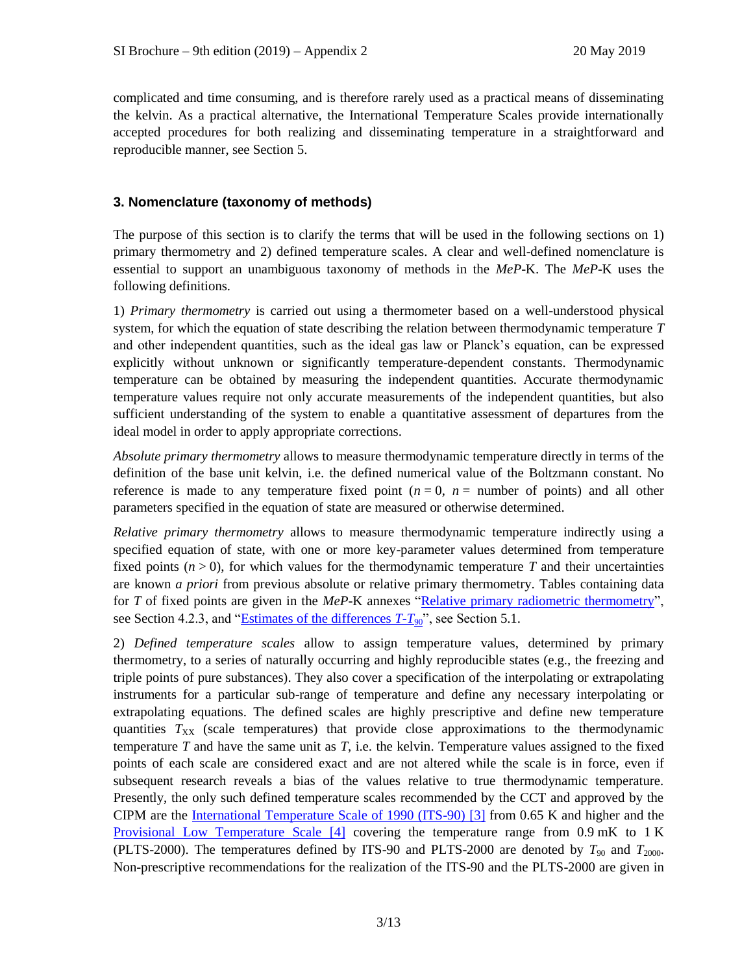complicated and time consuming, and is therefore rarely used as a practical means of disseminating the kelvin. As a practical alternative, the International Temperature Scales provide internationally accepted procedures for both realizing and disseminating temperature in a straightforward and reproducible manner, see Section 5.

# **3. Nomenclature (taxonomy of methods)**

The purpose of this section is to clarify the terms that will be used in the following sections on 1) primary thermometry and 2) defined temperature scales. A clear and well-defined nomenclature is essential to support an unambiguous taxonomy of methods in the *MeP*-K. The *MeP*-K uses the following definitions.

1) *Primary thermometry* is carried out using a thermometer based on a well-understood physical system, for which the equation of state describing the relation between thermodynamic temperature *T* and other independent quantities, such as the ideal gas law or Planck's equation, can be expressed explicitly without unknown or significantly temperature-dependent constants. Thermodynamic temperature can be obtained by measuring the independent quantities. Accurate thermodynamic temperature values require not only accurate measurements of the independent quantities, but also sufficient understanding of the system to enable a quantitative assessment of departures from the ideal model in order to apply appropriate corrections.

*Absolute primary thermometry* allows to measure thermodynamic temperature directly in terms of the definition of the base unit kelvin, i.e. the defined numerical value of the Boltzmann constant. No reference is made to any temperature fixed point  $(n = 0, n =$  number of points) and all other parameters specified in the equation of state are measured or otherwise determined.

*Relative primary thermometry* allows to measure thermodynamic temperature indirectly using a specified equation of state, with one or more key-parameter values determined from temperature fixed points  $(n > 0)$ , for which values for the thermodynamic temperature T and their uncertainties are known *a priori* from previous absolute or relative primary thermometry. Tables containing data for *T* of fixed points are given in the *MeP-K* annexes ["Relative primary radiometric thermometry"](https://www.bipm.org/utils/en/pdf/si-mep/MeP-K-2018_Relative_Primary_Radiometry.pdf), see Section 4.2.3, and ["Estimates of the differences](https://www.bipm.org/utils/common/pdf/ITS-90/Estimates_Differences_T-T90_2010.pdf) *T*-*T*90", see Section 5.1.

2) *Defined temperature scales* allow to assign temperature values, determined by primary thermometry, to a series of naturally occurring and highly reproducible states (e.g., the freezing and triple points of pure substances). They also cover a specification of the interpolating or extrapolating instruments for a particular sub-range of temperature and define any necessary interpolating or extrapolating equations. The defined scales are highly prescriptive and define new temperature quantities  $T_{XX}$  (scale temperatures) that provide close approximations to the thermodynamic temperature *T* and have the same unit as *T*, i.e. the kelvin. Temperature values assigned to the fixed points of each scale are considered exact and are not altered while the scale is in force, even if subsequent research reveals a bias of the values relative to true thermodynamic temperature. Presently, the only such defined temperature scales recommended by the CCT and approved by the CIPM are the [International Temperature Scale of 1990 \(ITS-90\) \[3\]](https://doi.org/10.1088/0026-1394/27/1/002) from 0.65 K and higher and the [Provisional Low Temperature Scale \[4\]](https://www.bipm.org/utils/en/pdf/PLTS-2000.pdf) covering the temperature range from 0.9 mK to 1 K (PLTS-2000). The temperatures defined by ITS-90 and PLTS-2000 are denoted by  $T_{90}$  and  $T_{2000}$ . Non-prescriptive recommendations for the realization of the ITS-90 and the PLTS-2000 are given in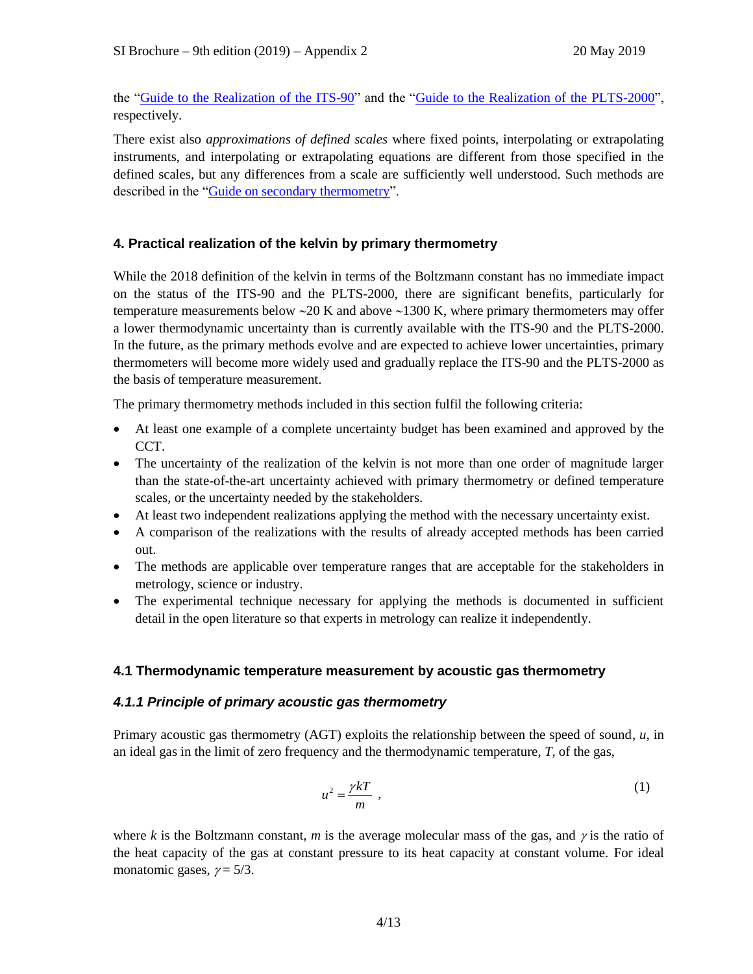the ["Guide to the Realization of the ITS-90"](https://www.bipm.org/en/committees/cc/cct/guide-its90.html) and the ["Guide to the Realization of the PLTS-2000"](https://www.bipm.org/en/committees/cc/cct/guide-plts2000.html), respectively.

There exist also *approximations of defined scales* where fixed points, interpolating or extrapolating instruments, and interpolating or extrapolating equations are different from those specified in the defined scales, but any differences from a scale are sufficiently well understood. Such methods are described in the ["Guide on secondary thermometry"](https://www.bipm.org/en/committees/cc/cct/publications-cc.html).

# **4. Practical realization of the kelvin by primary thermometry**

While the 2018 definition of the kelvin in terms of the Boltzmann constant has no immediate impact on the status of the ITS-90 and the PLTS-2000, there are significant benefits, particularly for temperature measurements below  $\sim$  20 K and above  $\sim$  1300 K, where primary thermometers may offer a lower thermodynamic uncertainty than is currently available with the ITS-90 and the PLTS-2000. In the future, as the primary methods evolve and are expected to achieve lower uncertainties, primary thermometers will become more widely used and gradually replace the ITS-90 and the PLTS-2000 as the basis of temperature measurement.

The primary thermometry methods included in this section fulfil the following criteria:

- At least one example of a complete uncertainty budget has been examined and approved by the CCT.
- The uncertainty of the realization of the kelvin is not more than one order of magnitude larger than the state-of-the-art uncertainty achieved with primary thermometry or defined temperature scales, or the uncertainty needed by the stakeholders.
- At least two independent realizations applying the method with the necessary uncertainty exist.
- A comparison of the realizations with the results of already accepted methods has been carried out.
- The methods are applicable over temperature ranges that are acceptable for the stakeholders in metrology, science or industry.
- The experimental technique necessary for applying the methods is documented in sufficient detail in the open literature so that experts in metrology can realize it independently.

# **4.1 Thermodynamic temperature measurement by acoustic gas thermometry**

# *4.1.1 Principle of primary acoustic gas thermometry*

Primary acoustic gas thermometry (AGT) exploits the relationship between the speed of sound, *u*, in an ideal gas in the limit of zero frequency and the thermodynamic temperature, *T*, of the gas,

$$
u^2 = \frac{\gamma kT}{m} \tag{1}
$$

where *k* is the Boltzmann constant, *m* is the average molecular mass of the gas, and  $\gamma$  is the ratio of the heat capacity of the gas at constant pressure to its heat capacity at constant volume. For ideal monatomic gases,  $\gamma = 5/3$ .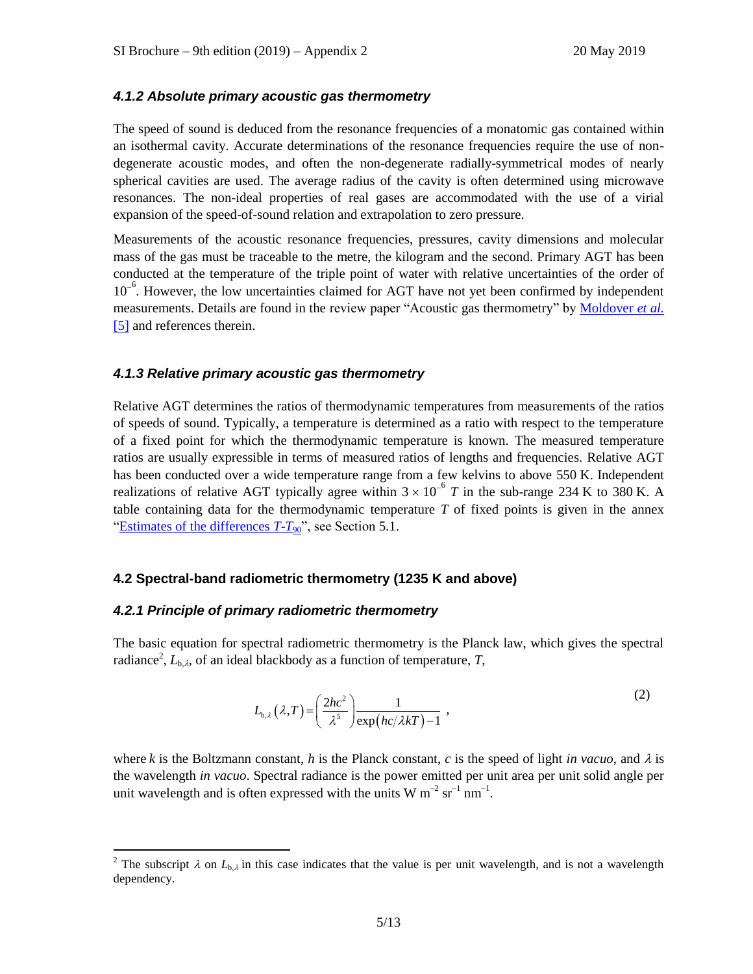# *4.1.2 Absolute primary acoustic gas thermometry*

The speed of sound is deduced from the resonance frequencies of a monatomic gas contained within an isothermal cavity. Accurate determinations of the resonance frequencies require the use of nondegenerate acoustic modes, and often the non-degenerate radially-symmetrical modes of nearly spherical cavities are used. The average radius of the cavity is often determined using microwave resonances. The non-ideal properties of real gases are accommodated with the use of a virial expansion of the speed-of-sound relation and extrapolation to zero pressure.

Measurements of the acoustic resonance frequencies, pressures, cavity dimensions and molecular mass of the gas must be traceable to the metre, the kilogram and the second. Primary AGT has been conducted at the temperature of the triple point of water with relative uncertainties of the order of 10<sup>-6</sup>. However, the low uncertainties claimed for AGT have not yet been confirmed by independent measurements. Details are found in the review paper "Acoustic gas thermometry" by [Moldover](https://doi.org/10.1088/0026-1394/51/1/R1) *et al.* [\[5\]](https://doi.org/10.1088/0026-1394/51/1/R1) and references therein.

## *4.1.3 Relative primary acoustic gas thermometry*

Relative AGT determines the ratios of thermodynamic temperatures from measurements of the ratios of speeds of sound. Typically, a temperature is determined as a ratio with respect to the temperature of a fixed point for which the thermodynamic temperature is known. The measured temperature ratios are usually expressible in terms of measured ratios of lengths and frequencies. Relative AGT has been conducted over a wide temperature range from a few kelvins to above 550 K. Independent realizations of relative AGT typically agree within  $3 \times 10^{-6}$  T in the sub-range 234 K to 380 K. A table containing data for the thermodynamic temperature *T* of fixed points is given in the annex ["Estimates of the differences](https://www.bipm.org/utils/common/pdf/ITS-90/Estimates_Differences_T-T90_2010.pdf)  $T - T_{90}$ ", see Section 5.1.

# **4.2 Spectral-band radiometric thermometry (1235 K and above)**

## *4.2.1 Principle of primary radiometric thermometry*

The basic equation for spectral radiometric thermometry is the Planck law, which gives the spectral radiance<sup>2</sup>,  $L_{b,\lambda}$ , of an ideal blackbody as a function of temperature, *T*,

$$
L_{b,\lambda}(\lambda,T) = \left(\frac{2hc^2}{\lambda^5}\right) \frac{1}{\exp(hc/\lambda kT) - 1},
$$
\n(2)

where *k* is the Boltzmann constant, *h* is the Planck constant, *c* is the speed of light *in vacuo*, and  $\lambda$  is the wavelength *in vacuo*. Spectral radiance is the power emitted per unit area per unit solid angle per unit wavelength and is often expressed with the units W  $m^{-2}$  sr<sup>-1</sup> nm<sup>-1</sup>.

<sup>&</sup>lt;sup>2</sup> The subscript  $\lambda$  on  $L_{b,\lambda}$  in this case indicates that the value is per unit wavelength, and is not a wavelength dependency.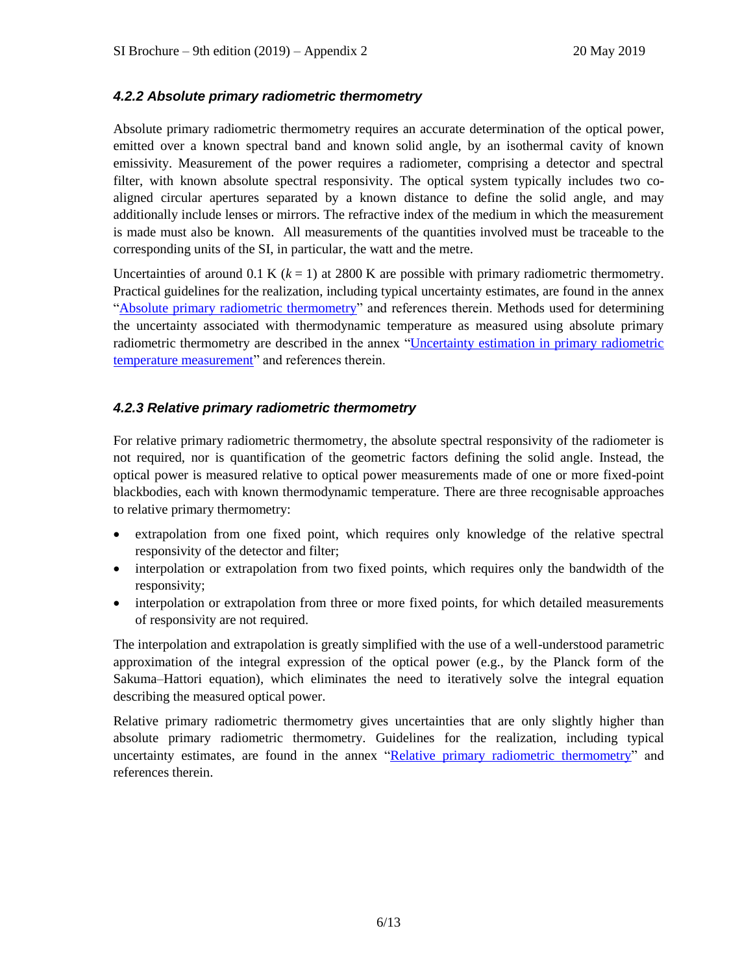# *4.2.2 Absolute primary radiometric thermometry*

Absolute primary radiometric thermometry requires an accurate determination of the optical power, emitted over a known spectral band and known solid angle, by an isothermal cavity of known emissivity. Measurement of the power requires a radiometer, comprising a detector and spectral filter, with known absolute spectral responsivity. The optical system typically includes two coaligned circular apertures separated by a known distance to define the solid angle, and may additionally include lenses or mirrors. The refractive index of the medium in which the measurement is made must also be known. All measurements of the quantities involved must be traceable to the corresponding units of the SI, in particular, the watt and the metre.

Uncertainties of around 0.1 K  $(k = 1)$  at 2800 K are possible with primary radiometric thermometry. Practical guidelines for the realization, including typical uncertainty estimates, are found in the annex ["Absolute primary radiometric thermometry"](https://www.bipm.org/utils/en/pdf/si-mep/MeP-K-2018_Absolute_Primary_Radiometry.pdf) and references therein. Methods used for determining the uncertainty associated with thermodynamic temperature as measured using absolute primary radiometric thermometry are described in the annex ["Uncertainty estimation in primary radiometric](https://www.bipm.org/utils/en/pdf/si-mep/MeP-K-2018_Absolute_Primary_Radiometry_Uncertainty.pdf)  [temperature measurement"](https://www.bipm.org/utils/en/pdf/si-mep/MeP-K-2018_Absolute_Primary_Radiometry_Uncertainty.pdf) and references therein.

# *4.2.3 Relative primary radiometric thermometry*

For relative primary radiometric thermometry, the absolute spectral responsivity of the radiometer is not required, nor is quantification of the geometric factors defining the solid angle. Instead, the optical power is measured relative to optical power measurements made of one or more fixed-point blackbodies, each with known thermodynamic temperature. There are three recognisable approaches to relative primary thermometry:

- extrapolation from one fixed point, which requires only knowledge of the relative spectral responsivity of the detector and filter;
- interpolation or extrapolation from two fixed points, which requires only the bandwidth of the responsivity;
- interpolation or extrapolation from three or more fixed points, for which detailed measurements of responsivity are not required.

The interpolation and extrapolation is greatly simplified with the use of a well-understood parametric approximation of the integral expression of the optical power (e.g., by the Planck form of the Sakuma–Hattori equation), which eliminates the need to iteratively solve the integral equation describing the measured optical power.

Relative primary radiometric thermometry gives uncertainties that are only slightly higher than absolute primary radiometric thermometry. Guidelines for the realization, including typical uncertainty estimates, are found in the annex ["Relative primary radiometric thermometry"](https://www.bipm.org/utils/en/pdf/si-mep/MeP-K-2018_Relative_Primary_Radiometry.pdf) and references therein.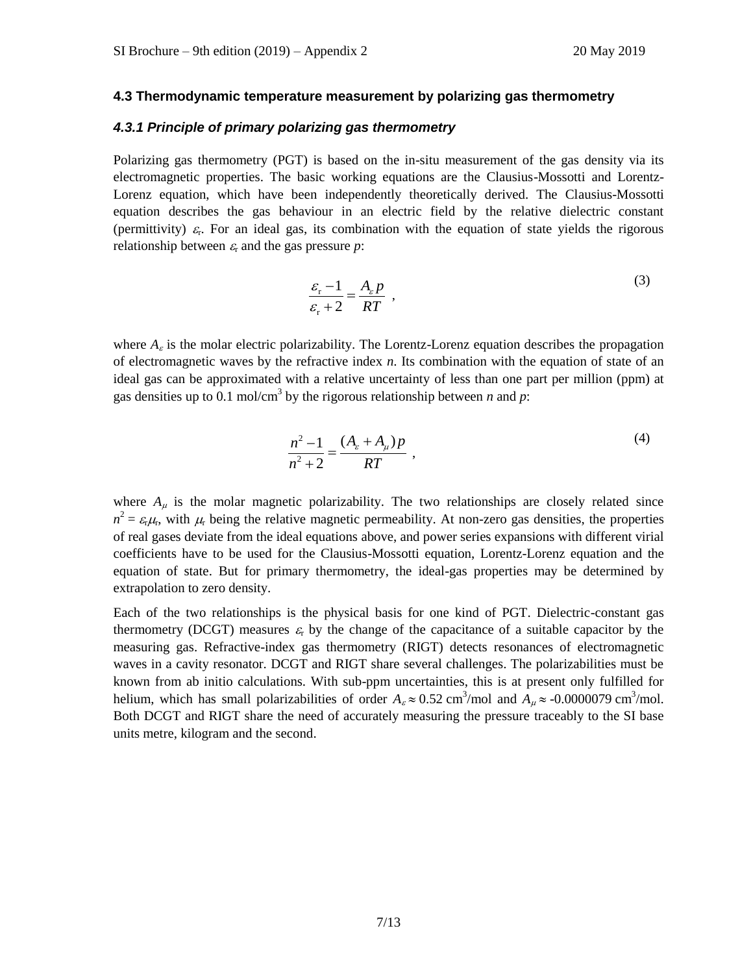## **4.3 Thermodynamic temperature measurement by polarizing gas thermometry**

#### *4.3.1 Principle of primary polarizing gas thermometry*

Polarizing gas thermometry (PGT) is based on the in-situ measurement of the gas density via its electromagnetic properties. The basic working equations are the Clausius-Mossotti and Lorentz-Lorenz equation, which have been independently theoretically derived. The Clausius-Mossotti equation describes the gas behaviour in an electric field by the relative dielectric constant (permittivity)  $\varepsilon_r$ . For an ideal gas, its combination with the equation of state yields the rigorous relationship between  $\varepsilon_r$  and the gas pressure *p*:

$$
\frac{\varepsilon_r - 1}{\varepsilon_r + 2} = \frac{A_{\varepsilon} p}{RT} , \qquad (3)
$$

where  $A_{\varepsilon}$  is the molar electric polarizability. The Lorentz-Lorenz equation describes the propagation of electromagnetic waves by the refractive index *n*. Its combination with the equation of state of an ideal gas can be approximated with a relative uncertainty of less than one part per million (ppm) at gas densities up to 0.1 mol/cm<sup>3</sup> by the rigorous relationship between *n* and *p*:

$$
\frac{n^2 - 1}{n^2 + 2} = \frac{(A_{\varepsilon} + A_{\mu})p}{RT} ,
$$
\n(4)

where  $A_{\mu}$  is the molar magnetic polarizability. The two relationships are closely related since  $n^2 = \varepsilon_r \mu_r$ , with  $\mu_r$  being the relative magnetic permeability. At non-zero gas densities, the properties of real gases deviate from the ideal equations above, and power series expansions with different virial coefficients have to be used for the Clausius-Mossotti equation, Lorentz-Lorenz equation and the equation of state. But for primary thermometry, the ideal-gas properties may be determined by extrapolation to zero density.

Each of the two relationships is the physical basis for one kind of PGT. Dielectric-constant gas thermometry (DCGT) measures  $\varepsilon_r$  by the change of the capacitance of a suitable capacitor by the measuring gas. Refractive-index gas thermometry (RIGT) detects resonances of electromagnetic waves in a cavity resonator. DCGT and RIGT share several challenges. The polarizabilities must be known from ab initio calculations. With sub-ppm uncertainties, this is at present only fulfilled for helium, which has small polarizabilities of order  $A_\varepsilon \approx 0.52 \text{ cm}^3/\text{mol}$  and  $A_\mu \approx -0.0000079 \text{ cm}^3/\text{mol}$ . Both DCGT and RIGT share the need of accurately measuring the pressure traceably to the SI base units metre, kilogram and the second.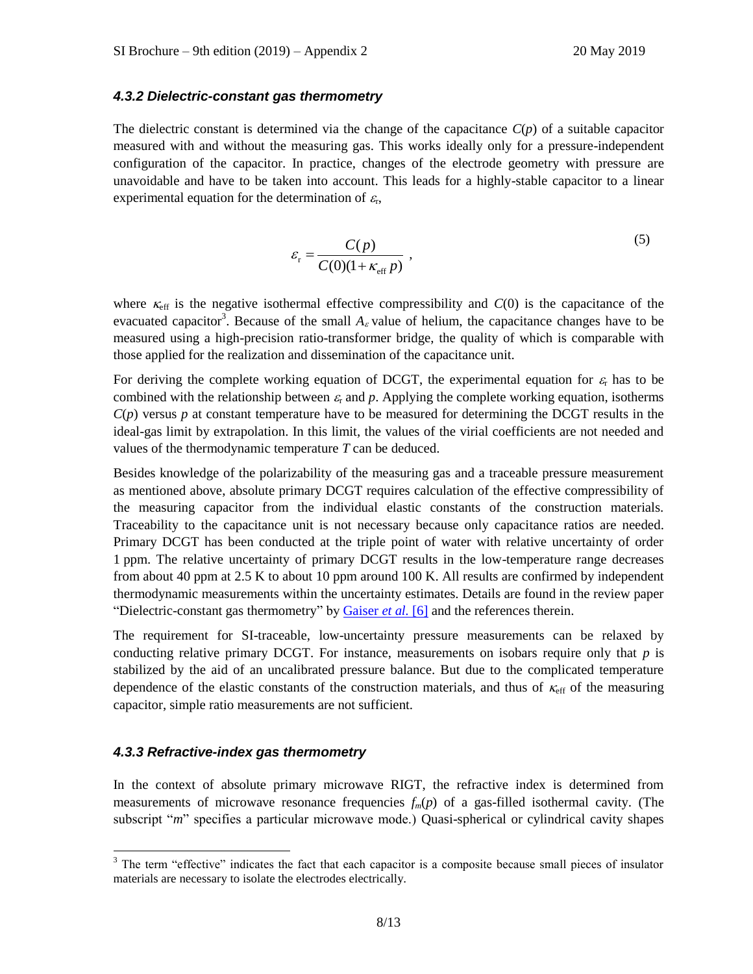## *4.3.2 Dielectric-constant gas thermometry*

The dielectric constant is determined via the change of the capacitance  $C(p)$  of a suitable capacitor measured with and without the measuring gas. This works ideally only for a pressure-independent configuration of the capacitor. In practice, changes of the electrode geometry with pressure are unavoidable and have to be taken into account. This leads for a highly-stable capacitor to a linear experimental equation for the determination of  $\varepsilon_r$ ,

$$
\varepsilon_{\rm r} = \frac{C(p)}{C(0)(1 + \kappa_{\rm eff} p)}\,,\tag{5}
$$

where  $\kappa_{\text{eff}}$  is the negative isothermal effective compressibility and  $C(0)$  is the capacitance of the evacuated capacitor<sup>3</sup>. Because of the small  $A_\varepsilon$  value of helium, the capacitance changes have to be measured using a high-precision ratio-transformer bridge, the quality of which is comparable with those applied for the realization and dissemination of the capacitance unit.

For deriving the complete working equation of DCGT, the experimental equation for  $\varepsilon_r$  has to be combined with the relationship between  $\varepsilon_r$  and p. Applying the complete working equation, isotherms  $C(p)$  versus *p* at constant temperature have to be measured for determining the DCGT results in the ideal-gas limit by extrapolation. In this limit, the values of the virial coefficients are not needed and values of the thermodynamic temperature *T* can be deduced.

Besides knowledge of the polarizability of the measuring gas and a traceable pressure measurement as mentioned above, absolute primary DCGT requires calculation of the effective compressibility of the measuring capacitor from the individual elastic constants of the construction materials. Traceability to the capacitance unit is not necessary because only capacitance ratios are needed. Primary DCGT has been conducted at the triple point of water with relative uncertainty of order 1 ppm. The relative uncertainty of primary DCGT results in the low-temperature range decreases from about 40 ppm at 2.5 K to about 10 ppm around 100 K. All results are confirmed by independent thermodynamic measurements within the uncertainty estimates. Details are found in the review paper "Dielectric-constant gas thermometry" by [Gaiser](https://doi.org/10.1088/0026-1394/52/5/S217) *et al.* [6] and the references therein.

The requirement for SI-traceable, low-uncertainty pressure measurements can be relaxed by conducting relative primary DCGT. For instance, measurements on isobars require only that *p* is stabilized by the aid of an uncalibrated pressure balance. But due to the complicated temperature dependence of the elastic constants of the construction materials, and thus of  $\kappa_{\rm eff}$  of the measuring capacitor, simple ratio measurements are not sufficient.

# *4.3.3 Refractive-index gas thermometry*

In the context of absolute primary microwave RIGT, the refractive index is determined from measurements of microwave resonance frequencies  $f_m(p)$  of a gas-filled isothermal cavity. (The subscript "*m*" specifies a particular microwave mode.) Quasi-spherical or cylindrical cavity shapes

 $3$  The term "effective" indicates the fact that each capacitor is a composite because small pieces of insulator materials are necessary to isolate the electrodes electrically.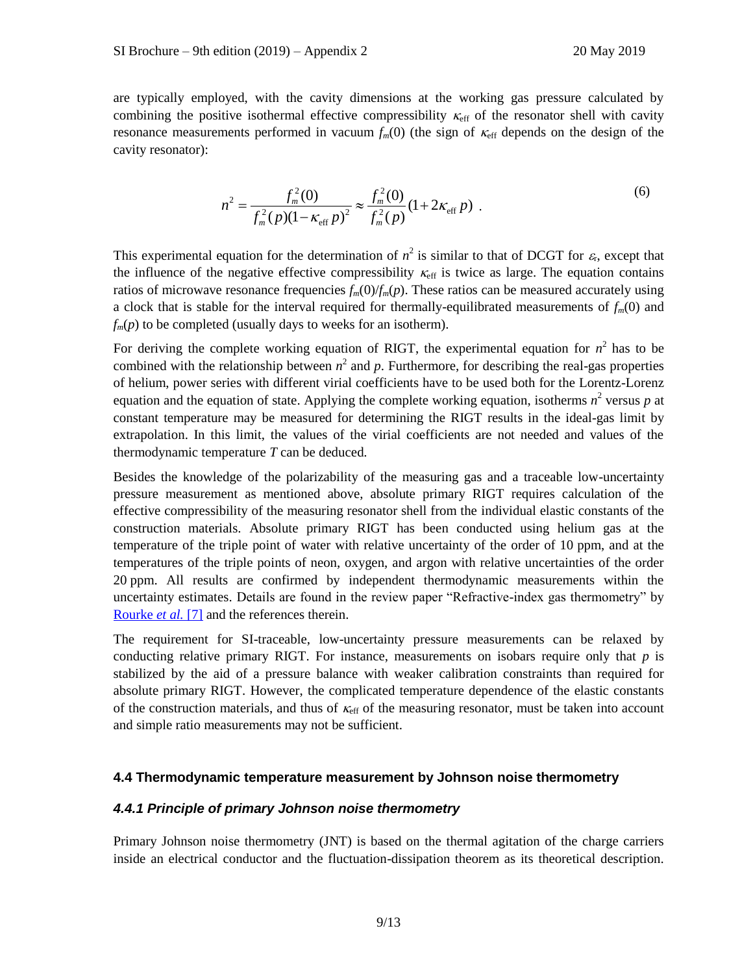are typically employed, with the cavity dimensions at the working gas pressure calculated by combining the positive isothermal effective compressibility  $\kappa_{\text{eff}}$  of the resonator shell with cavity resonance measurements performed in vacuum  $f_m(0)$  (the sign of  $\kappa_{\rm eff}$  depends on the design of the cavity resonator):

$$
n^{2} = \frac{f_{m}^{2}(0)}{f_{m}^{2}(p)(1 - \kappa_{\text{eff}} p)^{2}} \approx \frac{f_{m}^{2}(0)}{f_{m}^{2}(p)} (1 + 2\kappa_{\text{eff}} p) . \tag{6}
$$

This experimental equation for the determination of  $n^2$  is similar to that of DCGT for  $\varepsilon_r$ , except that the influence of the negative effective compressibility  $\kappa_{\text{eff}}$  is twice as large. The equation contains ratios of microwave resonance frequencies  $f_m(0)/f_m(p)$ . These ratios can be measured accurately using a clock that is stable for the interval required for thermally-equilibrated measurements of  $f_m(0)$  and  $f_m(p)$  to be completed (usually days to weeks for an isotherm).

For deriving the complete working equation of RIGT, the experimental equation for  $n^2$  has to be combined with the relationship between  $n^2$  and p. Furthermore, for describing the real-gas properties of helium, power series with different virial coefficients have to be used both for the Lorentz-Lorenz equation and the equation of state. Applying the complete working equation, isotherms  $n^2$  versus  $p$  at constant temperature may be measured for determining the RIGT results in the ideal-gas limit by extrapolation. In this limit, the values of the virial coefficients are not needed and values of the thermodynamic temperature *T* can be deduced.

Besides the knowledge of the polarizability of the measuring gas and a traceable low-uncertainty pressure measurement as mentioned above, absolute primary RIGT requires calculation of the effective compressibility of the measuring resonator shell from the individual elastic constants of the construction materials. Absolute primary RIGT has been conducted using helium gas at the temperature of the triple point of water with relative uncertainty of the order of 10 ppm, and at the temperatures of the triple points of neon, oxygen, and argon with relative uncertainties of the order 20 ppm. All results are confirmed by independent thermodynamic measurements within the uncertainty estimates. Details are found in the review paper "Refractive-index gas thermometry" by [Rourke](https://doi.org/10.1088/1681-7575/ab0dbe) *et al.* [7] and the references therein.

The requirement for SI-traceable, low-uncertainty pressure measurements can be relaxed by conducting relative primary RIGT. For instance, measurements on isobars require only that *p* is stabilized by the aid of a pressure balance with weaker calibration constraints than required for absolute primary RIGT. However, the complicated temperature dependence of the elastic constants of the construction materials, and thus of  $\kappa_{\text{eff}}$  of the measuring resonator, must be taken into account and simple ratio measurements may not be sufficient.

## **4.4 Thermodynamic temperature measurement by Johnson noise thermometry**

## *4.4.1 Principle of primary Johnson noise thermometry*

Primary Johnson noise thermometry (JNT) is based on the thermal agitation of the charge carriers inside an electrical conductor and the fluctuation-dissipation theorem as its theoretical description.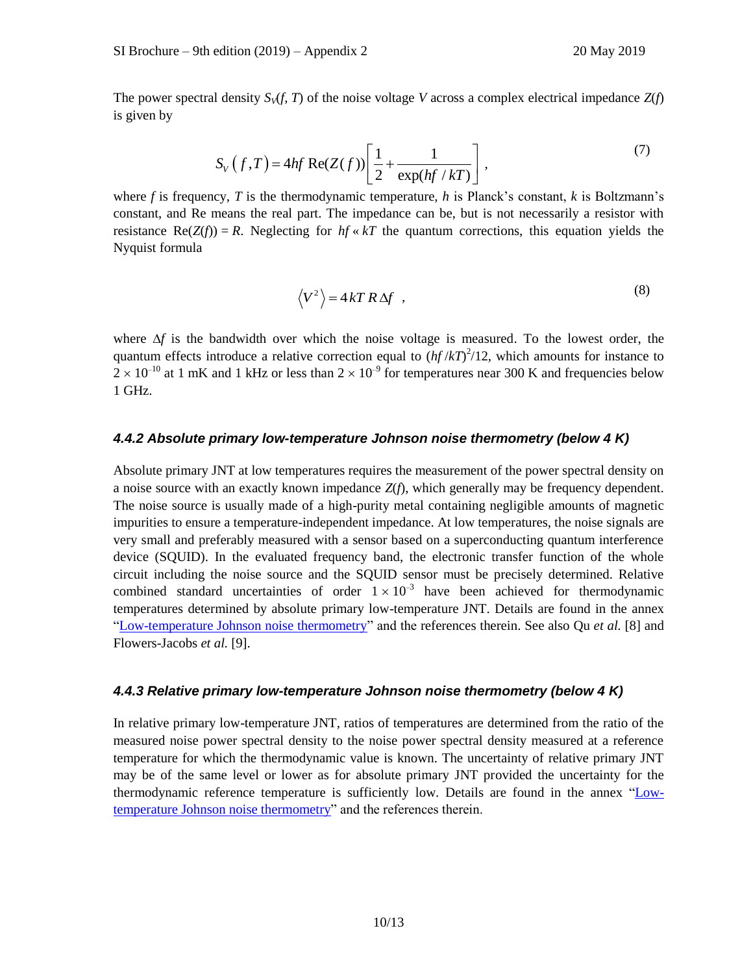The power spectral density  $S_V(f, T)$  of the noise voltage *V* across a complex electrical impedance  $Z(f)$ is given by

$$
S_V(f,T) = 4hf \operatorname{Re}(Z(f)) \left[ \frac{1}{2} + \frac{1}{\exp(hf/kT)} \right],
$$
\n(7)

where *f* is frequency, *T* is the thermodynamic temperature, *h* is Planck's constant, *k* is Boltzmann's constant, and Re means the real part. The impedance can be, but is not necessarily a resistor with resistance  $\text{Re}(Z(f)) = R$ . Neglecting for  $hf \ll kT$  the quantum corrections, this equation yields the Nyquist formula

$$
\langle V^2 \rangle = 4kTR\Delta f \quad , \tag{8}
$$

where  $\Delta f$  is the bandwidth over which the noise voltage is measured. To the lowest order, the quantum effects introduce a relative correction equal to  $(hf/kT)^2/12$ , which amounts for instance to  $2 \times 10^{-10}$  at 1 mK and 1 kHz or less than  $2 \times 10^{-9}$  for temperatures near 300 K and frequencies below 1 GHz.

## *4.4.2 Absolute primary low-temperature Johnson noise thermometry (below 4 K)*

Absolute primary JNT at low temperatures requires the measurement of the power spectral density on a noise source with an exactly known impedance *Z*(*f*), which generally may be frequency dependent. The noise source is usually made of a high-purity metal containing negligible amounts of magnetic impurities to ensure a temperature-independent impedance. At low temperatures, the noise signals are very small and preferably measured with a sensor based on a superconducting quantum interference device (SQUID). In the evaluated frequency band, the electronic transfer function of the whole circuit including the noise source and the SQUID sensor must be precisely determined. Relative combined standard uncertainties of order  $1 \times 10^{-3}$  have been achieved for thermodynamic temperatures determined by absolute primary low-temperature JNT. Details are found in the annex ["Low-temperature Johnson noise thermometry"](https://www.bipm.org/utils/en/pdf/si-mep/MeP-K-2019-LT_Johnson_Noise_Thermometry.pdf) and the references therein. See also Qu *et al.* [8] and Flowers-Jacobs *et al.* [9].

# *4.4.3 Relative primary low-temperature Johnson noise thermometry (below 4 K)*

In relative primary low-temperature JNT, ratios of temperatures are determined from the ratio of the measured noise power spectral density to the noise power spectral density measured at a reference temperature for which the thermodynamic value is known. The uncertainty of relative primary JNT may be of the same level or lower as for absolute primary JNT provided the uncertainty for the thermodynamic reference temperature is sufficiently low. Details are found in the annex ["Low](https://www.bipm.org/utils/en/pdf/si-mep/MeP-K-2019-LT_Johnson_Noise_Thermometry.pdf)[temperature Johnson noise thermometry"](https://www.bipm.org/utils/en/pdf/si-mep/MeP-K-2019-LT_Johnson_Noise_Thermometry.pdf) and the references therein.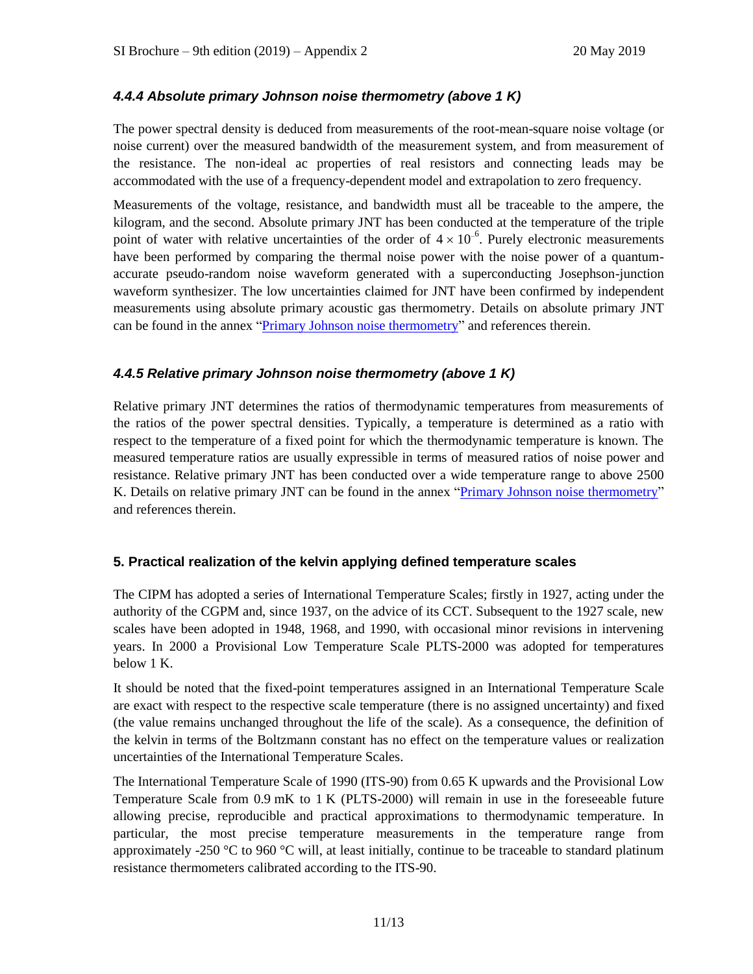# *4.4.4 Absolute primary Johnson noise thermometry (above 1 K)*

The power spectral density is deduced from measurements of the root-mean-square noise voltage (or noise current) over the measured bandwidth of the measurement system, and from measurement of the resistance. The non-ideal ac properties of real resistors and connecting leads may be accommodated with the use of a frequency-dependent model and extrapolation to zero frequency.

Measurements of the voltage, resistance, and bandwidth must all be traceable to the ampere, the kilogram, and the second. Absolute primary JNT has been conducted at the temperature of the triple point of water with relative uncertainties of the order of  $4 \times 10^{-6}$ . Purely electronic measurements have been performed by comparing the thermal noise power with the noise power of a quantumaccurate pseudo-random noise waveform generated with a superconducting Josephson-junction waveform synthesizer. The low uncertainties claimed for JNT have been confirmed by independent measurements using absolute primary acoustic gas thermometry. Details on absolute primary JNT can be found in the annex ["Primary Johnson noise thermometry"](https://www.bipm.org/utils/en/pdf/si-mep/MeP-K-2018-Document-being-prepared.pdf) and references therein.

# *4.4.5 Relative primary Johnson noise thermometry (above 1 K)*

Relative primary JNT determines the ratios of thermodynamic temperatures from measurements of the ratios of the power spectral densities. Typically, a temperature is determined as a ratio with respect to the temperature of a fixed point for which the thermodynamic temperature is known. The measured temperature ratios are usually expressible in terms of measured ratios of noise power and resistance. Relative primary JNT has been conducted over a wide temperature range to above 2500 K. Details on relative primary JNT can be found in the annex ["Primary Johnson noise thermometry"](https://www.bipm.org/utils/en/pdf/si-mep/MeP-K-2018-Document-being-prepared.pdf) and references therein.

# **5. Practical realization of the kelvin applying defined temperature scales**

The CIPM has adopted a series of International Temperature Scales; firstly in 1927, acting under the authority of the CGPM and, since 1937, on the advice of its CCT. Subsequent to the 1927 scale, new scales have been adopted in 1948, 1968, and 1990, with occasional minor revisions in intervening years. In 2000 a Provisional Low Temperature Scale PLTS-2000 was adopted for temperatures below 1 K.

It should be noted that the fixed-point temperatures assigned in an International Temperature Scale are exact with respect to the respective scale temperature (there is no assigned uncertainty) and fixed (the value remains unchanged throughout the life of the scale). As a consequence, the definition of the kelvin in terms of the Boltzmann constant has no effect on the temperature values or realization uncertainties of the International Temperature Scales.

The International Temperature Scale of 1990 (ITS-90) from 0.65 K upwards and the Provisional Low Temperature Scale from 0.9 mK to 1 K (PLTS-2000) will remain in use in the foreseeable future allowing precise, reproducible and practical approximations to thermodynamic temperature. In particular, the most precise temperature measurements in the temperature range from approximately -250 °C to 960 °C will, at least initially, continue to be traceable to standard platinum resistance thermometers calibrated according to the ITS-90.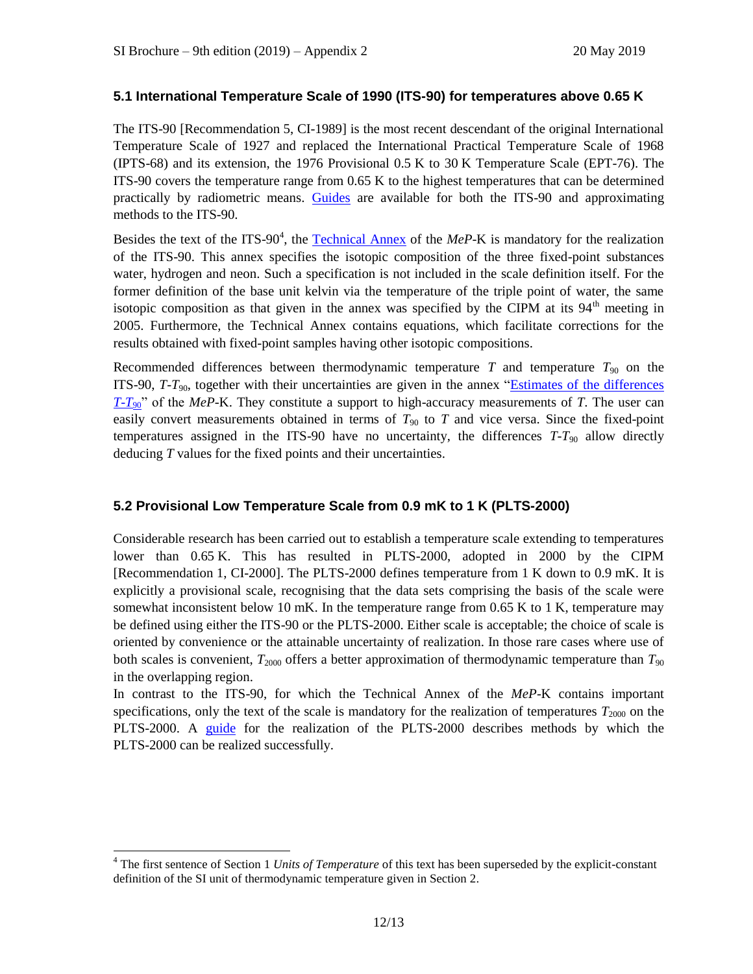## **5.1 International Temperature Scale of 1990 (ITS-90) for temperatures above 0.65 K**

The ITS-90 [Recommendation 5, CI-1989] is the most recent descendant of the original International Temperature Scale of 1927 and replaced the International Practical Temperature Scale of 1968 (IPTS-68) and its extension, the 1976 Provisional 0.5 K to 30 K Temperature Scale (EPT-76). The ITS-90 covers the temperature range from 0.65 K to the highest temperatures that can be determined practically by radiometric means. [Guides](https://www.bipm.org/en/committees/cc/cct/publications-cc.html) are available for both the ITS-90 and approximating methods to the ITS-90.

Besides the text of the ITS-90<sup>4</sup>, the **Technical Annex** of the *MeP*-K is mandatory for the realization of the ITS-90. This annex specifies the isotopic composition of the three fixed-point substances water, hydrogen and neon. Such a specification is not included in the scale definition itself. For the former definition of the base unit kelvin via the temperature of the triple point of water, the same isotopic composition as that given in the annex was specified by the CIPM at its  $94<sup>th</sup>$  meeting in 2005. Furthermore, the Technical Annex contains equations, which facilitate corrections for the results obtained with fixed-point samples having other isotopic compositions.

Recommended differences between thermodynamic temperature  $T$  and temperature  $T_{90}$  on the ITS-90,  $T-T_{90}$ , together with their uncertainties are given in the annex "Estimates of the differences" *[T](https://www.bipm.org/utils/common/pdf/ITS-90/Estimates_Differences_T-T90_2010.pdf)*-*T*<sub>90</sub>" of the *MeP*-K. They constitute a support to high-accuracy measurements of *T*. The user can easily convert measurements obtained in terms of  $T_{90}$  to  $T$  and vice versa. Since the fixed-point temperatures assigned in the ITS-90 have no uncertainty, the differences  $T-T_{90}$  allow directly deducing *T* values for the fixed points and their uncertainties.

# **5.2 Provisional Low Temperature Scale from 0.9 mK to 1 K (PLTS-2000)**

Considerable research has been carried out to establish a temperature scale extending to temperatures lower than 0.65 K. This has resulted in PLTS-2000, adopted in 2000 by the CIPM [Recommendation 1, CI-2000]. The PLTS-2000 defines temperature from 1 K down to 0.9 mK. It is explicitly a provisional scale, recognising that the data sets comprising the basis of the scale were somewhat inconsistent below 10 mK. In the temperature range from 0.65 K to 1 K, temperature may be defined using either the ITS-90 or the PLTS-2000. Either scale is acceptable; the choice of scale is oriented by convenience or the attainable uncertainty of realization. In those rare cases where use of both scales is convenient,  $T_{2000}$  offers a better approximation of thermodynamic temperature than  $T_{90}$ in the overlapping region.

In contrast to the ITS-90, for which the Technical Annex of the *MeP*-K contains important specifications, only the text of the scale is mandatory for the realization of temperatures  $T_{2000}$  on the PLTS-2000. A [guide](https://www.bipm.org/en/committees/cc/cct/guide-plts2000.html) for the realization of the PLTS-2000 describes methods by which the PLTS-2000 can be realized successfully.

<sup>4</sup> The first sentence of Section 1 *Units of Temperature* of this text has been superseded by the explicit-constant definition of the SI unit of thermodynamic temperature given in Section 2.